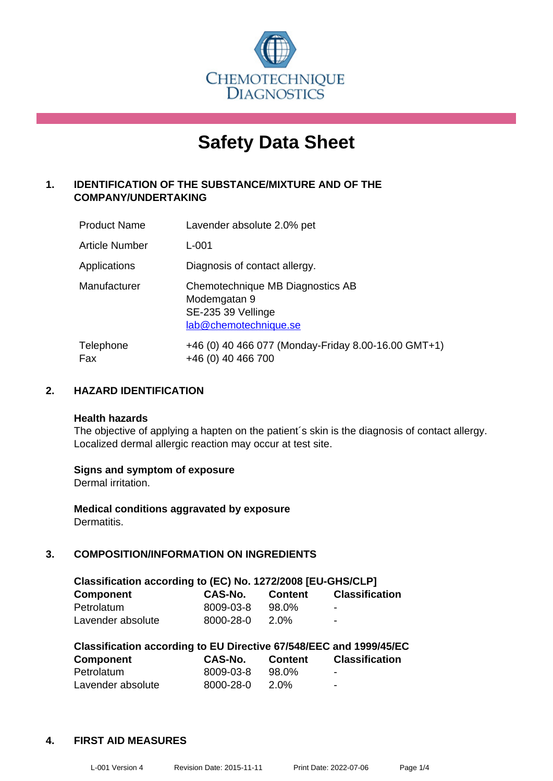

# **Safety Data Sheet**

## **1. IDENTIFICATION OF THE SUBSTANCE/MIXTURE AND OF THE COMPANY/UNDERTAKING**

| <b>Product Name</b>   | Lavender absolute 2.0% pet                                                                      |
|-----------------------|-------------------------------------------------------------------------------------------------|
| <b>Article Number</b> | $L - 001$                                                                                       |
| Applications          | Diagnosis of contact allergy.                                                                   |
| Manufacturer          | Chemotechnique MB Diagnostics AB<br>Modemgatan 9<br>SE-235 39 Vellinge<br>lab@chemotechnique.se |
| Telephone<br>Fax      | +46 (0) 40 466 077 (Monday-Friday 8.00-16.00 GMT+1)<br>+46 (0) 40 466 700                       |

## **2. HAZARD IDENTIFICATION**

#### **Health hazards**

The objective of applying a hapten on the patient's skin is the diagnosis of contact allergy. Localized dermal allergic reaction may occur at test site.

## **Signs and symptom of exposure**

Dermal irritation.

**Medical conditions aggravated by exposure** Dermatitis.

## **3. COMPOSITION/INFORMATION ON INGREDIENTS**

| Classification according to (EC) No. 1272/2008 [EU-GHS/CLP] |           |                |                       |  |
|-------------------------------------------------------------|-----------|----------------|-----------------------|--|
| <b>Component</b>                                            | CAS-No.   | <b>Content</b> | <b>Classification</b> |  |
| Petrolatum                                                  | 8009-03-8 | 98.0%          | -                     |  |
| Lavender absolute                                           | 8000-28-0 | 2.0%           | $\blacksquare$        |  |

| Classification according to EU Directive 67/548/EEC and 1999/45/EC |           |                |                       |  |
|--------------------------------------------------------------------|-----------|----------------|-----------------------|--|
| Component                                                          | CAS-No.   | <b>Content</b> | <b>Classification</b> |  |
| Petrolatum                                                         | 8009-03-8 | 98.0%          | $\blacksquare$        |  |
| Lavender absolute                                                  | 8000-28-0 | 2.0%           | -                     |  |

#### **4. FIRST AID MEASURES**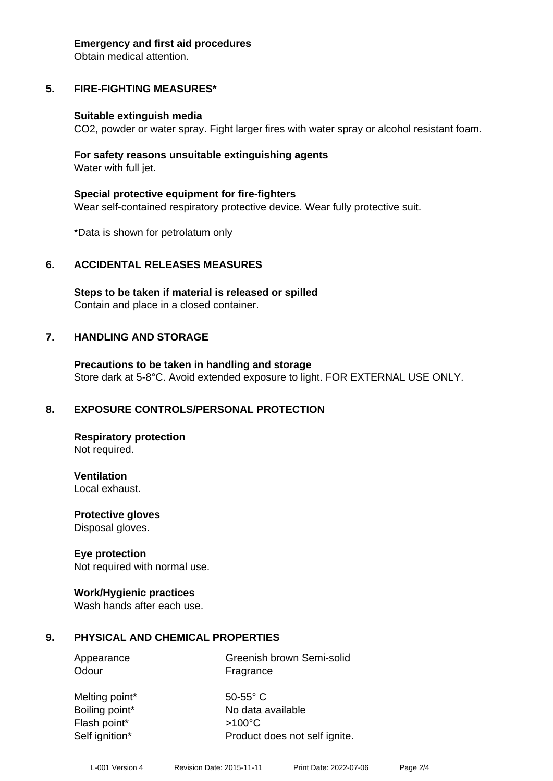#### **Emergency and first aid procedures**

Obtain medical attention.

# **5. FIRE-FIGHTING MEASURES\***

## **Suitable extinguish media**

CO2, powder or water spray. Fight larger fires with water spray or alcohol resistant foam.

## **For safety reasons unsuitable extinguishing agents** Water with full jet.

**Special protective equipment for fire-fighters** Wear self-contained respiratory protective device. Wear fully protective suit.

\*Data is shown for petrolatum only

# **6. ACCIDENTAL RELEASES MEASURES**

**Steps to be taken if material is released or spilled** Contain and place in a closed container.

# **7. HANDLING AND STORAGE**

**Precautions to be taken in handling and storage** Store dark at 5-8°C. Avoid extended exposure to light. FOR EXTERNAL USE ONLY.

# **8. EXPOSURE CONTROLS/PERSONAL PROTECTION**

**Respiratory protection** Not required.

**Ventilation** Local exhaust.

**Protective gloves** Disposal gloves.

## **Eye protection**

Not required with normal use.

## **Work/Hygienic practices**

Wash hands after each use.

# **9. PHYSICAL AND CHEMICAL PROPERTIES**

| Appearance | Greenish brown Semi-solid |
|------------|---------------------------|
| Odour      | Fragrance                 |

Melting point\* 50-55° C Flash point\* >100°C Self ignition\* Product does not self ignite.

Boiling point\* No data available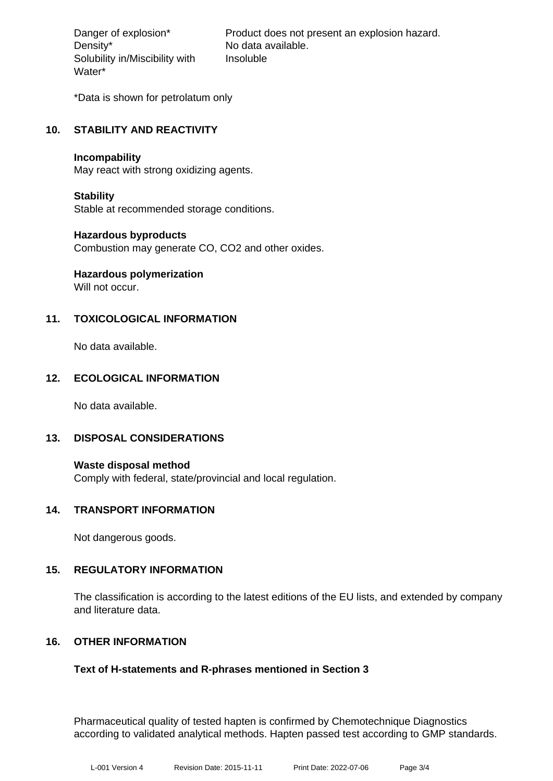Density\* No data available. Solubility in/Miscibility with Water\*

Danger of explosion\* Product does not present an explosion hazard. Insoluble

\*Data is shown for petrolatum only

## **10. STABILITY AND REACTIVITY**

#### **Incompability**

May react with strong oxidizing agents.

## **Stability**

Stable at recommended storage conditions.

## **Hazardous byproducts**

Combustion may generate CO, CO2 and other oxides.

# **Hazardous polymerization**

Will not occur.

## **11. TOXICOLOGICAL INFORMATION**

No data available.

## **12. ECOLOGICAL INFORMATION**

No data available.

## **13. DISPOSAL CONSIDERATIONS**

**Waste disposal method** Comply with federal, state/provincial and local regulation.

## **14. TRANSPORT INFORMATION**

Not dangerous goods.

## **15. REGULATORY INFORMATION**

The classification is according to the latest editions of the EU lists, and extended by company and literature data.

## **16. OTHER INFORMATION**

## **Text of H-statements and R-phrases mentioned in Section 3**

Pharmaceutical quality of tested hapten is confirmed by Chemotechnique Diagnostics according to validated analytical methods. Hapten passed test according to GMP standards.